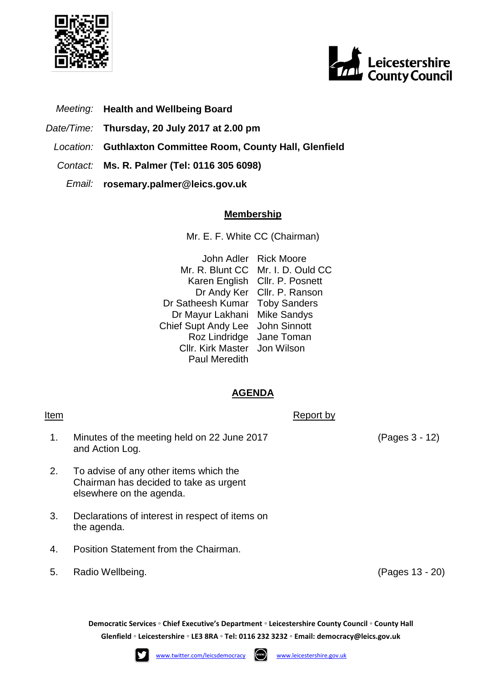



- *Meeting:* **Health and Wellbeing Board**
- *Date/Time:* **Thursday, 20 July 2017 at 2.00 pm**
- *Location:* **Guthlaxton Committee Room, County Hall, Glenfield**
- *Contact:* **Ms. R. Palmer (Tel: 0116 305 6098)**
	- *Email:* **rosemary.palmer@leics.gov.uk**

## **Membership**

Mr. E. F. White CC (Chairman)

John Adler Rick Moore Mr. R. Blunt CC Mr. I. D. Ould CC Karen English Cllr. P. Posnett Dr Andy Ker Cllr. P. Ranson Dr Satheesh Kumar Toby Sanders Dr Mayur Lakhani Mike Sandys Chief Supt Andy Lee John Sinnott Roz Lindridge Jane Toman Cllr. Kirk Master Jon Wilson Paul Meredith

## **AGENDA**

Item Report by Report by Report by Report by Report by Report by Report by Report by Report by  $\mathbb{R}$ 

- 1. Minutes of the meeting held on 22 June 2017 and Action Log.
- 2. To advise of any other items which the Chairman has decided to take as urgent elsewhere on the agenda.
- 3. Declarations of interest in respect of items on the agenda.
- 4. Position Statement from the Chairman.
- 5. Radio Wellbeing. (Pages 13 20)

**Democratic Services ◦ Chief Executive's Department ◦ Leicestershire County Council ◦ County Hall Glenfield ◦ Leicestershire ◦ LE3 8RA ◦ Tel: 0116 232 3232 ◦ Email: [democracy@leics.gov.uk](mailto:democracy@leics.gov.uk)**





(Pages 3 - 12)